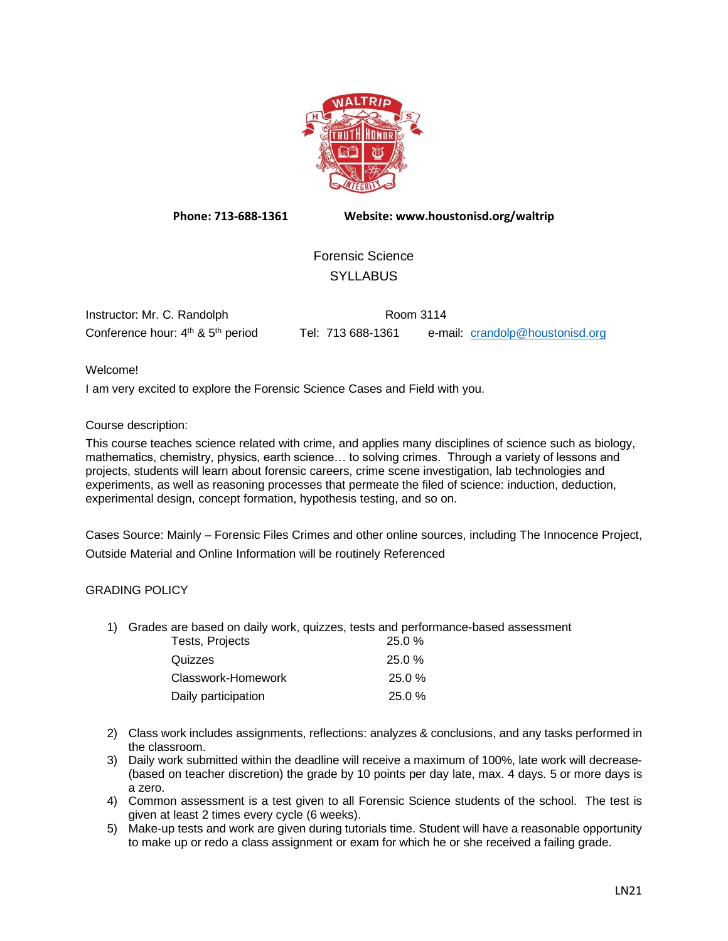

**Phone: 713-688-1361 Website: www.houstonisd.org/waltrip**

Forensic Science **SYLLABUS** 

| Instructor: Mr. C. Randolph                               | Room 3114         |                                 |
|-----------------------------------------------------------|-------------------|---------------------------------|
| Conference hour: 4 <sup>th</sup> & 5 <sup>th</sup> period | Tel: 713 688-1361 | e-mail: crandolp@houstonisd.org |

Welcome!

I am very excited to explore the Forensic Science Cases and Field with you.

### Course description:

This course teaches science related with crime, and applies many disciplines of science such as biology, mathematics, chemistry, physics, earth science… to solving crimes. Through a variety of lessons and projects, students will learn about forensic careers, crime scene investigation, lab technologies and experiments, as well as reasoning processes that permeate the filed of science: induction, deduction, experimental design, concept formation, hypothesis testing, and so on.

Cases Source: Mainly – Forensic Files Crimes and other online sources, including The Innocence Project, Outside Material and Online Information will be routinely Referenced

#### GRADING POLICY

1) Grades are based on daily work, quizzes, tests and performance-based assessment Tests, Projects 25.0 %

| <b>Tests, Projects</b> | 25.U %    |
|------------------------|-----------|
| Quizzes                | 25.0%     |
| Classwork-Homework     | $25.0 \%$ |
| Daily participation    | 25.0%     |

- 2) Class work includes assignments, reflections: analyzes & conclusions, and any tasks performed in the classroom.
- 3) Daily work submitted within the deadline will receive a maximum of 100%, late work will decrease- (based on teacher discretion) the grade by 10 points per day late, max. 4 days. 5 or more days is a zero.
- 4) Common assessment is a test given to all Forensic Science students of the school. The test is given at least 2 times every cycle (6 weeks).
- 5) Make-up tests and work are given during tutorials time. Student will have a reasonable opportunity to make up or redo a class assignment or exam for which he or she received a failing grade.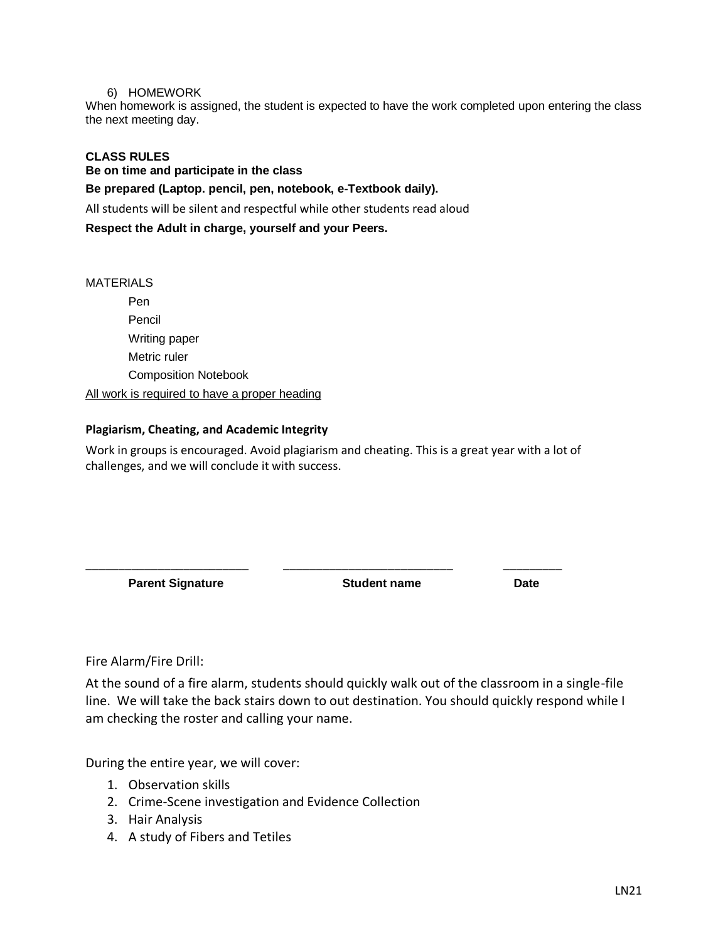### 6) HOMEWORK

When homework is assigned, the student is expected to have the work completed upon entering the class the next meeting day.

# **CLASS RULES**

**Be on time and participate in the class**

**Be prepared (Laptop. pencil, pen, notebook, e-Textbook daily).**

All students will be silent and respectful while other students read aloud

**Respect the Adult in charge, yourself and your Peers.**

### MATERIALS

Pen Pencil Writing paper Metric ruler Composition Notebook All work is required to have a proper heading

## **Plagiarism, Cheating, and Academic Integrity**

Work in groups is encouraged. Avoid plagiarism and cheating. This is a great year with a lot of challenges, and we will conclude it with success.

\_\_\_\_\_\_\_\_\_\_\_\_\_\_\_\_\_\_\_\_\_\_\_\_\_ \_\_\_\_\_\_\_\_\_\_\_\_\_\_\_\_\_\_\_\_\_\_\_\_\_\_ \_\_\_\_\_\_\_\_\_

**Parent Signature Student name Date**

Fire Alarm/Fire Drill:

At the sound of a fire alarm, students should quickly walk out of the classroom in a single-file line. We will take the back stairs down to out destination. You should quickly respond while I am checking the roster and calling your name.

During the entire year, we will cover:

- 1. Observation skills
- 2. Crime-Scene investigation and Evidence Collection
- 3. Hair Analysis
- 4. A study of Fibers and Tetiles